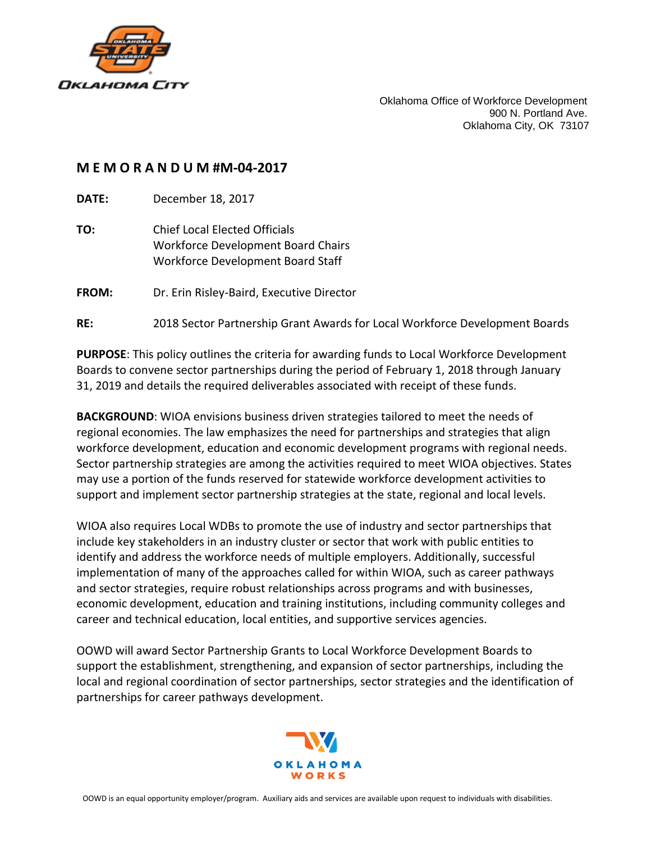

Oklahoma Office of Workforce Development 900 N. Portland Ave. Oklahoma City, OK 73107

#### **M E M O R A N D U M #M-04-2017**

**DATE:** December 18, 2017

**TO:** Chief Local Elected Officials Workforce Development Board Chairs Workforce Development Board Staff

**FROM:** Dr. Erin Risley-Baird, Executive Director

#### **RE:** 2018 Sector Partnership Grant Awards for Local Workforce Development Boards

**PURPOSE**: This policy outlines the criteria for awarding funds to Local Workforce Development Boards to convene sector partnerships during the period of February 1, 2018 through January 31, 2019 and details the required deliverables associated with receipt of these funds.

**BACKGROUND**: WIOA envisions business driven strategies tailored to meet the needs of regional economies. The law emphasizes the need for partnerships and strategies that align workforce development, education and economic development programs with regional needs. Sector partnership strategies are among the activities required to meet WIOA objectives. States may use a portion of the funds reserved for statewide workforce development activities to support and implement sector partnership strategies at the state, regional and local levels.

WIOA also requires Local WDBs to promote the use of industry and sector partnerships that include key stakeholders in an industry cluster or sector that work with public entities to identify and address the workforce needs of multiple employers. Additionally, successful implementation of many of the approaches called for within WIOA, such as career pathways and sector strategies, require robust relationships across programs and with businesses, economic development, education and training institutions, including community colleges and career and technical education, local entities, and supportive services agencies.

OOWD will award Sector Partnership Grants to Local Workforce Development Boards to support the establishment, strengthening, and expansion of sector partnerships, including the local and regional coordination of sector partnerships, sector strategies and the identification of partnerships for career pathways development.

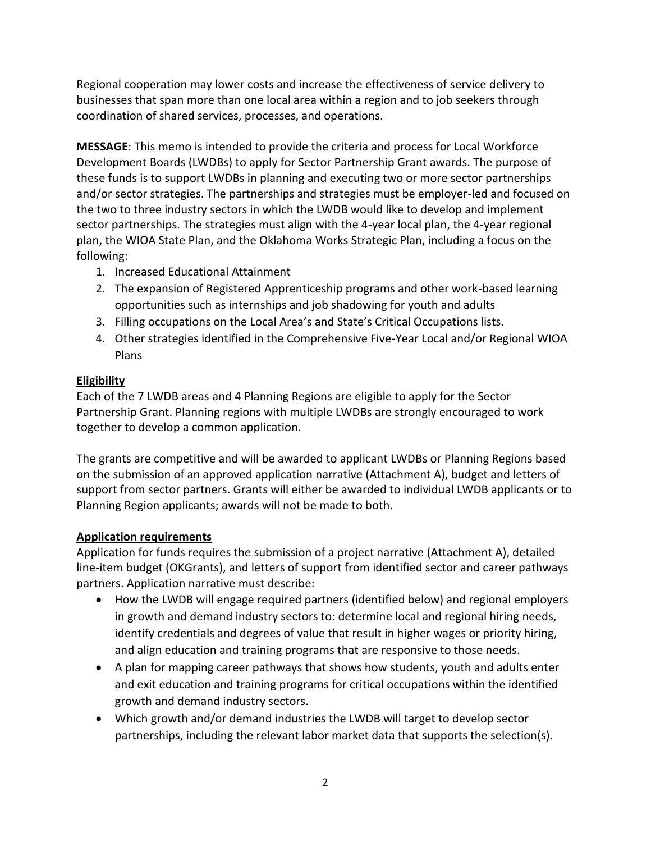Regional cooperation may lower costs and increase the effectiveness of service delivery to businesses that span more than one local area within a region and to job seekers through coordination of shared services, processes, and operations.

**MESSAGE**: This memo is intended to provide the criteria and process for Local Workforce Development Boards (LWDBs) to apply for Sector Partnership Grant awards. The purpose of these funds is to support LWDBs in planning and executing two or more sector partnerships and/or sector strategies. The partnerships and strategies must be employer-led and focused on the two to three industry sectors in which the LWDB would like to develop and implement sector partnerships. The strategies must align with the 4-year local plan, the 4-year regional plan, the WIOA State Plan, and the Oklahoma Works Strategic Plan, including a focus on the following:

- 1. Increased Educational Attainment
- 2. The expansion of Registered Apprenticeship programs and other work-based learning opportunities such as internships and job shadowing for youth and adults
- 3. Filling occupations on the Local Area's and State's Critical Occupations lists.
- 4. Other strategies identified in the Comprehensive Five-Year Local and/or Regional WIOA Plans

### **Eligibility**

Each of the 7 LWDB areas and 4 Planning Regions are eligible to apply for the Sector Partnership Grant. Planning regions with multiple LWDBs are strongly encouraged to work together to develop a common application.

The grants are competitive and will be awarded to applicant LWDBs or Planning Regions based on the submission of an approved application narrative (Attachment A), budget and letters of support from sector partners. Grants will either be awarded to individual LWDB applicants or to Planning Region applicants; awards will not be made to both.

### **Application requirements**

Application for funds requires the submission of a project narrative (Attachment A), detailed line-item budget (OKGrants), and letters of support from identified sector and career pathways partners. Application narrative must describe:

- How the LWDB will engage required partners (identified below) and regional employers in growth and demand industry sectors to: determine local and regional hiring needs, identify credentials and degrees of value that result in higher wages or priority hiring, and align education and training programs that are responsive to those needs.
- A plan for mapping career pathways that shows how students, youth and adults enter and exit education and training programs for critical occupations within the identified growth and demand industry sectors.
- Which growth and/or demand industries the LWDB will target to develop sector partnerships, including the relevant labor market data that supports the selection(s).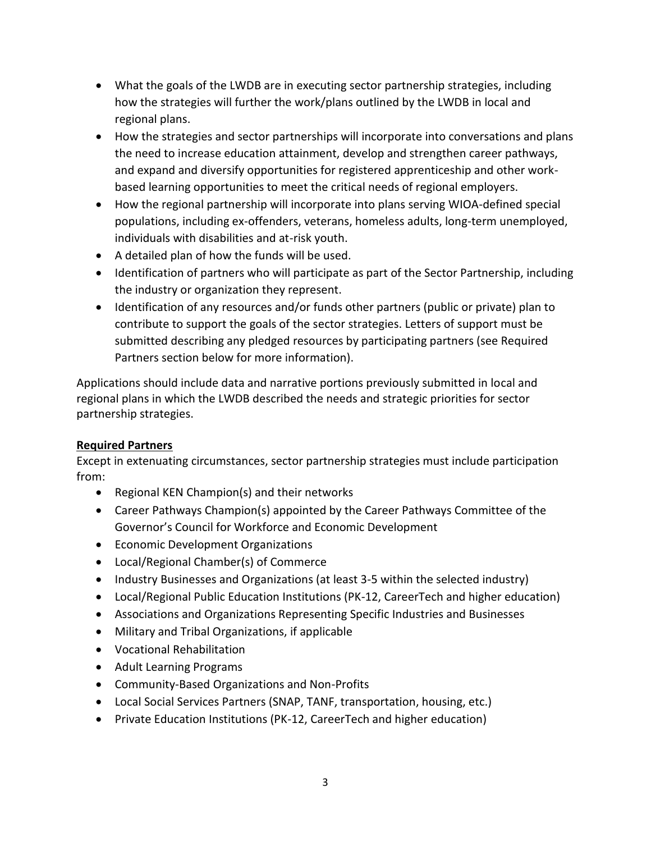- What the goals of the LWDB are in executing sector partnership strategies, including how the strategies will further the work/plans outlined by the LWDB in local and regional plans.
- How the strategies and sector partnerships will incorporate into conversations and plans the need to increase education attainment, develop and strengthen career pathways, and expand and diversify opportunities for registered apprenticeship and other workbased learning opportunities to meet the critical needs of regional employers.
- How the regional partnership will incorporate into plans serving WIOA-defined special populations, including ex-offenders, veterans, homeless adults, long-term unemployed, individuals with disabilities and at-risk youth.
- A detailed plan of how the funds will be used.
- Identification of partners who will participate as part of the Sector Partnership, including the industry or organization they represent.
- Identification of any resources and/or funds other partners (public or private) plan to contribute to support the goals of the sector strategies. Letters of support must be submitted describing any pledged resources by participating partners (see Required Partners section below for more information).

Applications should include data and narrative portions previously submitted in local and regional plans in which the LWDB described the needs and strategic priorities for sector partnership strategies.

### **Required Partners**

Except in extenuating circumstances, sector partnership strategies must include participation from:

- Regional KEN Champion(s) and their networks
- Career Pathways Champion(s) appointed by the Career Pathways Committee of the Governor's Council for Workforce and Economic Development
- Economic Development Organizations
- Local/Regional Chamber(s) of Commerce
- Industry Businesses and Organizations (at least 3-5 within the selected industry)
- Local/Regional Public Education Institutions (PK-12, CareerTech and higher education)
- Associations and Organizations Representing Specific Industries and Businesses
- Military and Tribal Organizations, if applicable
- Vocational Rehabilitation
- Adult Learning Programs
- Community-Based Organizations and Non-Profits
- Local Social Services Partners (SNAP, TANF, transportation, housing, etc.)
- Private Education Institutions (PK-12, CareerTech and higher education)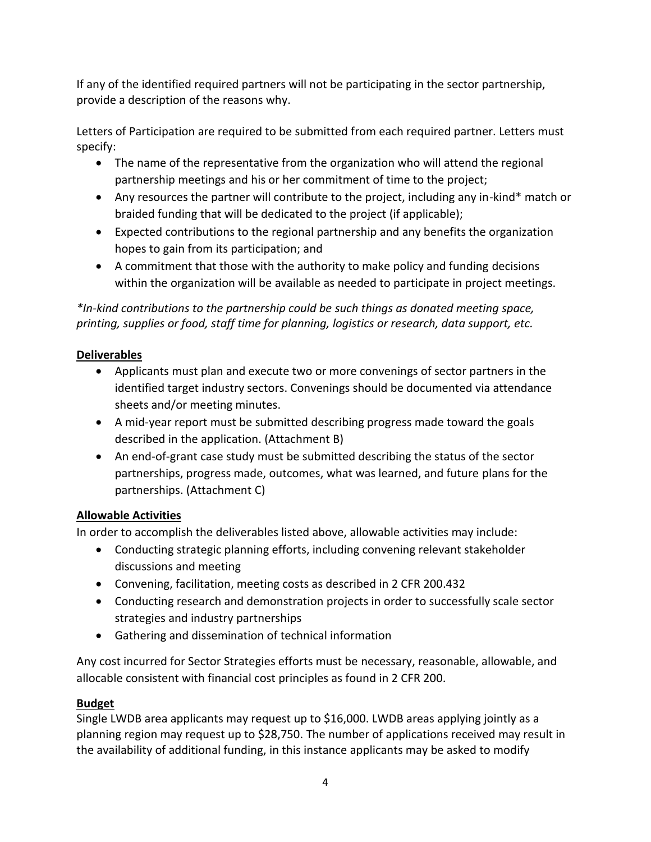If any of the identified required partners will not be participating in the sector partnership, provide a description of the reasons why.

Letters of Participation are required to be submitted from each required partner. Letters must specify:

- The name of the representative from the organization who will attend the regional partnership meetings and his or her commitment of time to the project;
- Any resources the partner will contribute to the project, including any in-kind\* match or braided funding that will be dedicated to the project (if applicable);
- Expected contributions to the regional partnership and any benefits the organization hopes to gain from its participation; and
- A commitment that those with the authority to make policy and funding decisions within the organization will be available as needed to participate in project meetings.

*\*In-kind contributions to the partnership could be such things as donated meeting space, printing, supplies or food, staff time for planning, logistics or research, data support, etc.*

# **Deliverables**

- Applicants must plan and execute two or more convenings of sector partners in the identified target industry sectors. Convenings should be documented via attendance sheets and/or meeting minutes.
- A mid-year report must be submitted describing progress made toward the goals described in the application. (Attachment B)
- An end-of-grant case study must be submitted describing the status of the sector partnerships, progress made, outcomes, what was learned, and future plans for the partnerships. (Attachment C)

# **Allowable Activities**

In order to accomplish the deliverables listed above, allowable activities may include:

- Conducting strategic planning efforts, including convening relevant stakeholder discussions and meeting
- Convening, facilitation, meeting costs as described in 2 CFR 200.432
- Conducting research and demonstration projects in order to successfully scale sector strategies and industry partnerships
- Gathering and dissemination of technical information

Any cost incurred for Sector Strategies efforts must be necessary, reasonable, allowable, and allocable consistent with financial cost principles as found in 2 CFR 200.

# **Budget**

Single LWDB area applicants may request up to \$16,000. LWDB areas applying jointly as a planning region may request up to \$28,750. The number of applications received may result in the availability of additional funding, in this instance applicants may be asked to modify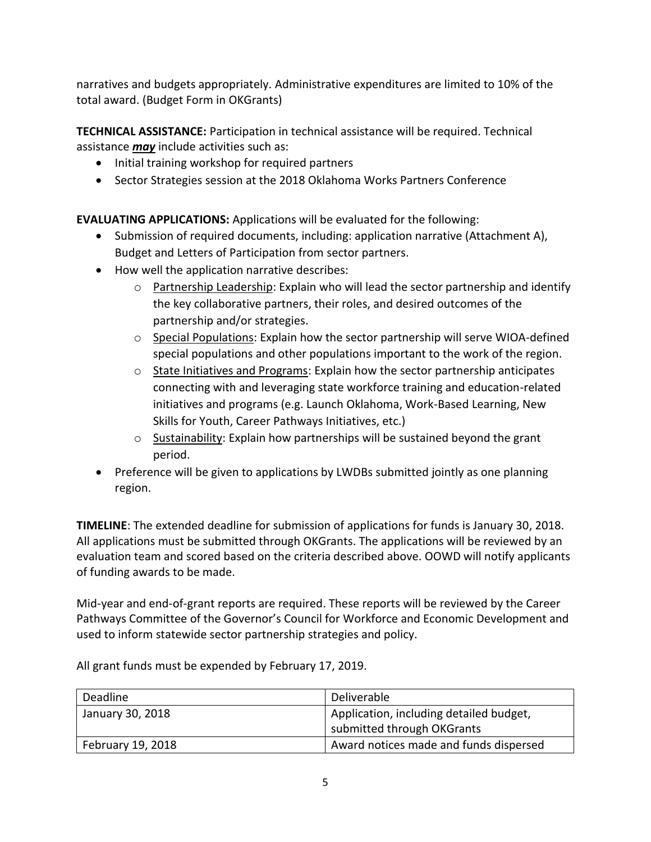narratives and budgets appropriately. Administrative expenditures are limited to 10% of the total award. (Budget Form in OKGrants)

**TECHNICAL ASSISTANCE:** Participation in technical assistance will be required. Technical assistance *may* include activities such as:

- Initial training workshop for required partners
- Sector Strategies session at the 2018 Oklahoma Works Partners Conference

**EVALUATING APPLICATIONS:** Applications will be evaluated for the following:

- Submission of required documents, including: application narrative (Attachment A), Budget and Letters of Participation from sector partners.
- How well the application narrative describes:
	- $\circ$  Partnership Leadership: Explain who will lead the sector partnership and identify the key collaborative partners, their roles, and desired outcomes of the partnership and/or strategies.
	- $\circ$  Special Populations: Explain how the sector partnership will serve WIOA-defined special populations and other populations important to the work of the region.
	- $\circ$  State Initiatives and Programs: Explain how the sector partnership anticipates connecting with and leveraging state workforce training and education-related initiatives and programs (e.g. Launch Oklahoma, Work-Based Learning, New Skills for Youth, Career Pathways Initiatives, etc.)
	- o Sustainability: Explain how partnerships will be sustained beyond the grant period.
- Preference will be given to applications by LWDBs submitted jointly as one planning region.

**TIMELINE**: The extended deadline for submission of applications for funds is January 30, 2018. All applications must be submitted through OKGrants. The applications will be reviewed by an evaluation team and scored based on the criteria described above. OOWD will notify applicants of funding awards to be made.

Mid-year and end-of-grant reports are required. These reports will be reviewed by the Career Pathways Committee of the Governor's Council for Workforce and Economic Development and used to inform statewide sector partnership strategies and policy.

| Deadline          | Deliverable                             |
|-------------------|-----------------------------------------|
| January 30, 2018  | Application, including detailed budget, |
|                   | submitted through OKGrants              |
| February 19, 2018 | Award notices made and funds dispersed  |

All grant funds must be expended by February 17, 2019.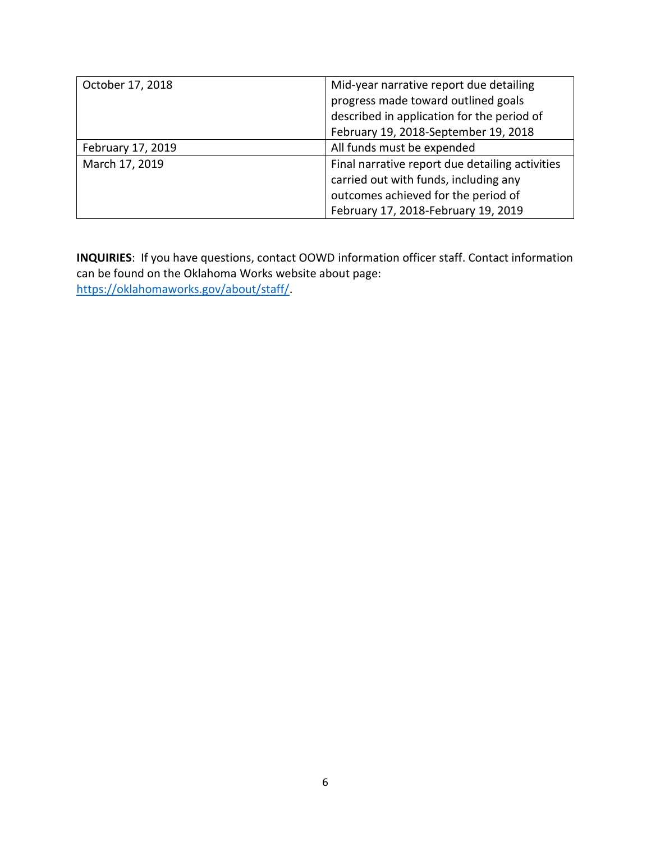| October 17, 2018  | Mid-year narrative report due detailing         |  |
|-------------------|-------------------------------------------------|--|
|                   | progress made toward outlined goals             |  |
|                   | described in application for the period of      |  |
|                   | February 19, 2018-September 19, 2018            |  |
| February 17, 2019 | All funds must be expended                      |  |
| March 17, 2019    | Final narrative report due detailing activities |  |
|                   | carried out with funds, including any           |  |
|                   | outcomes achieved for the period of             |  |
|                   | February 17, 2018-February 19, 2019             |  |

**INQUIRIES**: If you have questions, contact OOWD information officer staff. Contact information can be found on the Oklahoma Works website about page: [https://oklahomaworks.gov/about/staff/.](https://oklahomaworks.gov/about/staff/)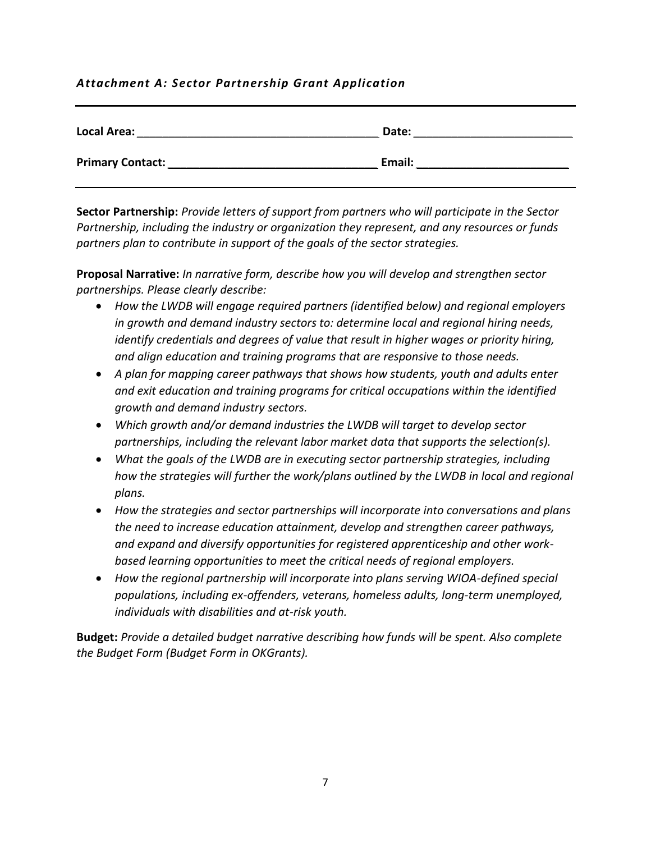### *Attachment A: Sector Partnership Grant Application*

| <b>Local Area:</b>      | Date:  |
|-------------------------|--------|
| <b>Primary Contact:</b> | Email: |

**Sector Partnership:** *Provide letters of support from partners who will participate in the Sector Partnership, including the industry or organization they represent, and any resources or funds partners plan to contribute in support of the goals of the sector strategies.*

**Proposal Narrative:** *In narrative form, describe how you will develop and strengthen sector partnerships. Please clearly describe:* 

- *How the LWDB will engage required partners (identified below) and regional employers in growth and demand industry sectors to: determine local and regional hiring needs, identify credentials and degrees of value that result in higher wages or priority hiring, and align education and training programs that are responsive to those needs.*
- *A plan for mapping career pathways that shows how students, youth and adults enter and exit education and training programs for critical occupations within the identified growth and demand industry sectors.*
- *Which growth and/or demand industries the LWDB will target to develop sector partnerships, including the relevant labor market data that supports the selection(s).*
- *What the goals of the LWDB are in executing sector partnership strategies, including how the strategies will further the work/plans outlined by the LWDB in local and regional plans.*
- *How the strategies and sector partnerships will incorporate into conversations and plans the need to increase education attainment, develop and strengthen career pathways, and expand and diversify opportunities for registered apprenticeship and other workbased learning opportunities to meet the critical needs of regional employers.*
- *How the regional partnership will incorporate into plans serving WIOA-defined special populations, including ex-offenders, veterans, homeless adults, long-term unemployed, individuals with disabilities and at-risk youth.*

**Budget:** *Provide a detailed budget narrative describing how funds will be spent. Also complete the Budget Form (Budget Form in OKGrants).*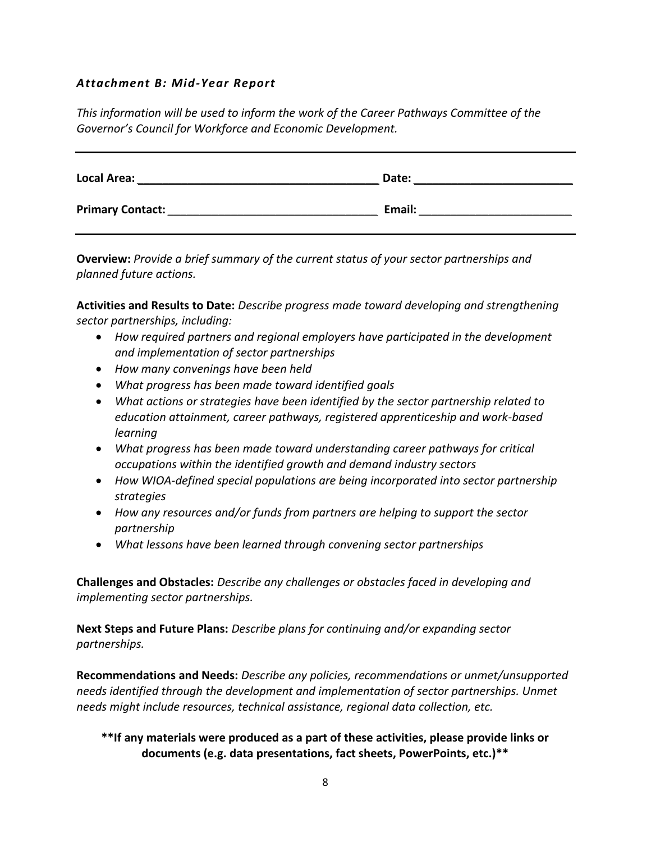#### *Attachment B: Mid-Year Report*

*This information will be used to inform the work of the Career Pathways Committee of the Governor's Council for Workforce and Economic Development.*

| <b>Local Area:</b>      | Date:  |
|-------------------------|--------|
| <b>Primary Contact:</b> | Email: |

**Overview:** *Provide a brief summary of the current status of your sector partnerships and planned future actions.*

**Activities and Results to Date:** *Describe progress made toward developing and strengthening sector partnerships, including:* 

- *How required partners and regional employers have participated in the development and implementation of sector partnerships*
- *How many convenings have been held*
- *What progress has been made toward identified goals*
- *What actions or strategies have been identified by the sector partnership related to education attainment, career pathways, registered apprenticeship and work-based learning*
- *What progress has been made toward understanding career pathways for critical occupations within the identified growth and demand industry sectors*
- *How WIOA-defined special populations are being incorporated into sector partnership strategies*
- *How any resources and/or funds from partners are helping to support the sector partnership*
- *What lessons have been learned through convening sector partnerships*

**Challenges and Obstacles:** *Describe any challenges or obstacles faced in developing and implementing sector partnerships.*

**Next Steps and Future Plans:** *Describe plans for continuing and/or expanding sector partnerships.* 

**Recommendations and Needs:** *Describe any policies, recommendations or unmet/unsupported needs identified through the development and implementation of sector partnerships. Unmet needs might include resources, technical assistance, regional data collection, etc.* 

**\*\*If any materials were produced as a part of these activities, please provide links or documents (e.g. data presentations, fact sheets, PowerPoints, etc.)\*\***